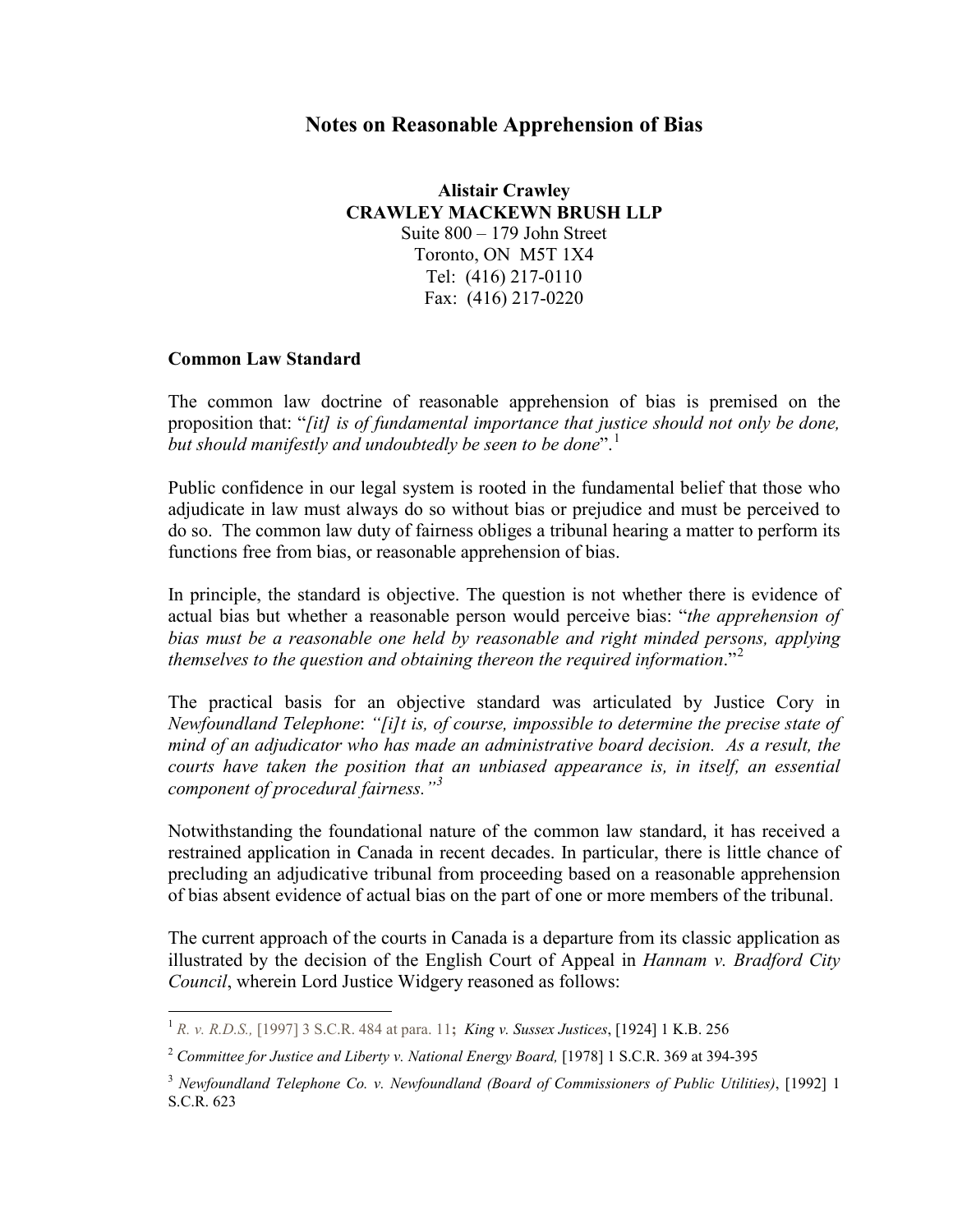## **Notes on Reasonable Apprehension of Bias**

**Alistair Crawley CRAWLEY MACKEWN BRUSH LLP** Suite 800 – 179 John Street Toronto, ON M5T 1X4 Tel: (416) 217-0110 Fax: (416) 217-0220

#### **Common Law Standard**

The common law doctrine of reasonable apprehension of bias is premised on the proposition that: "*[it] is of fundamental importance that justice should not only be done, but should manifestly and undoubtedly be seen to be done*".<sup>[1](#page-0-0)</sup>

Public confidence in our legal system is rooted in the fundamental belief that those who adjudicate in law must always do so without bias or prejudice and must be perceived to do so. The common law duty of fairness obliges a tribunal hearing a matter to perform its functions free from bias, or reasonable apprehension of bias.

In principle, the standard is objective. The question is not whether there is evidence of actual bias but whether a reasonable person would perceive bias: "*the apprehension of bias must be a reasonable one held by reasonable and right minded persons, applying themselves to the question and obtaining thereon the required information*."[2](#page-0-1)

The practical basis for an objective standard was articulated by Justice Cory in *Newfoundland Telephone*: *"[i]t is, of course, impossible to determine the precise state of mind of an adjudicator who has made an administrative board decision. As a result, the courts have taken the position that an unbiased appearance is, in itself, an essential component of procedural fairness."[3](#page-0-2)*

Notwithstanding the foundational nature of the common law standard, it has received a restrained application in Canada in recent decades. In particular, there is little chance of precluding an adjudicative tribunal from proceeding based on a reasonable apprehension of bias absent evidence of actual bias on the part of one or more members of the tribunal.

The current approach of the courts in Canada is a departure from its classic application as illustrated by the decision of the English Court of Appeal in *Hannam v. Bradford City Council*, wherein Lord Justice Widgery reasoned as follows:

<span id="page-0-0"></span> <sup>1</sup> *R. v. R.D.S.,* [1997] 3 S.C.R. 484 at para. 11**;** *King v. Sussex Justices*, [1924] 1 K.B. 256

<span id="page-0-1"></span><sup>2</sup> *Committee for Justice and Liberty v. National Energy Board,* [1978] 1 S.C.R. 369 at 394-395

<span id="page-0-2"></span><sup>3</sup> *Newfoundland Telephone Co. v. Newfoundland (Board of Commissioners of Public Utilities)*, [1992] 1 S.C.R. 623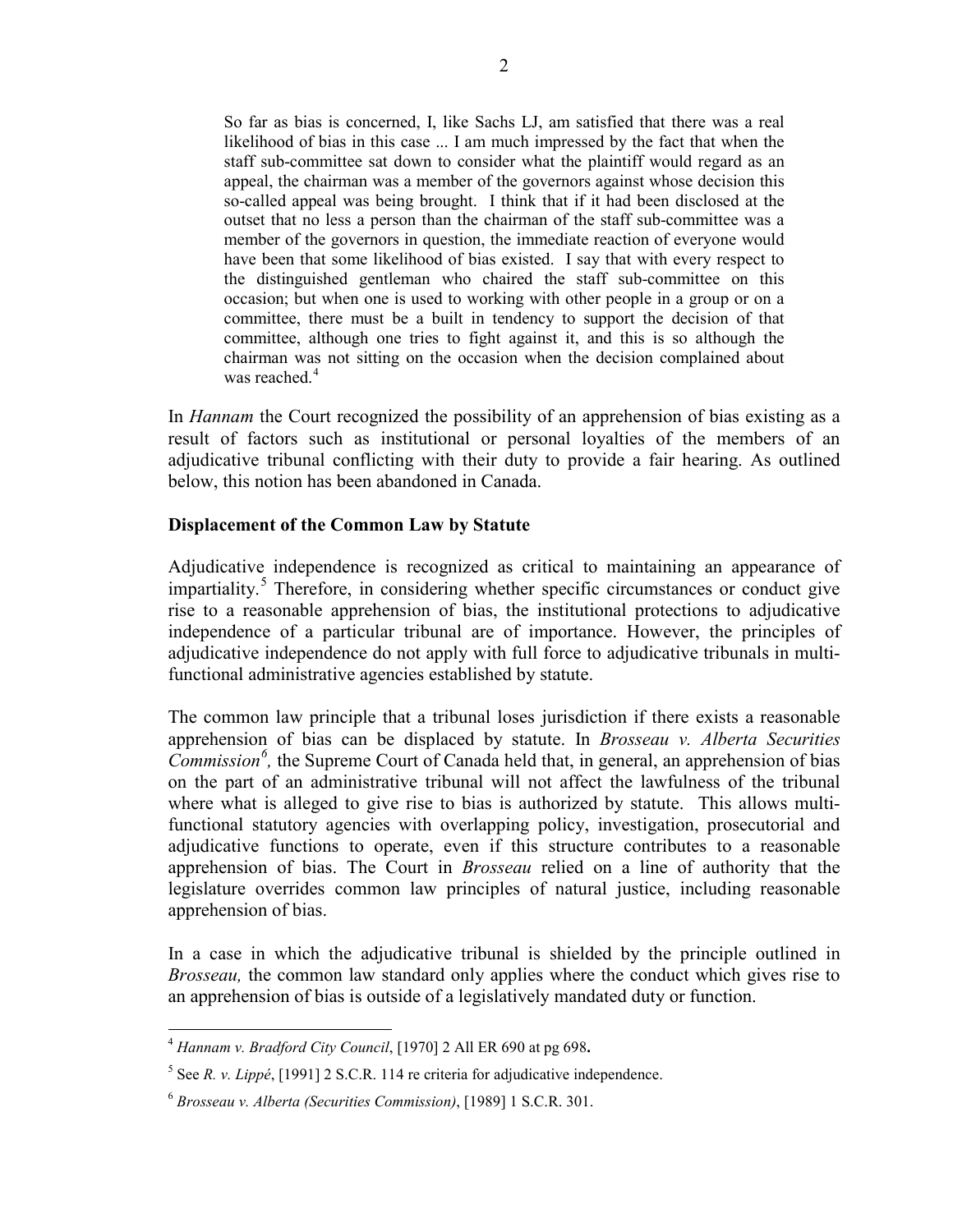So far as bias is concerned, I, like Sachs LJ, am satisfied that there was a real likelihood of bias in this case ... I am much impressed by the fact that when the staff sub-committee sat down to consider what the plaintiff would regard as an appeal, the chairman was a member of the governors against whose decision this so-called appeal was being brought. I think that if it had been disclosed at the outset that no less a person than the chairman of the staff sub-committee was a member of the governors in question, the immediate reaction of everyone would have been that some likelihood of bias existed. I say that with every respect to the distinguished gentleman who chaired the staff sub-committee on this occasion; but when one is used to working with other people in a group or on a committee, there must be a built in tendency to support the decision of that committee, although one tries to fight against it, and this is so although the chairman was not sitting on the occasion when the decision complained about was reached.<sup>[4](#page-1-0)</sup>

In *Hannam* the Court recognized the possibility of an apprehension of bias existing as a result of factors such as institutional or personal loyalties of the members of an adjudicative tribunal conflicting with their duty to provide a fair hearing. As outlined below, this notion has been abandoned in Canada.

### **Displacement of the Common Law by Statute**

Adjudicative independence is recognized as critical to maintaining an appearance of impartiality.<sup>[5](#page-1-1)</sup> Therefore, in considering whether specific circumstances or conduct give rise to a reasonable apprehension of bias, the institutional protections to adjudicative independence of a particular tribunal are of importance. However, the principles of adjudicative independence do not apply with full force to adjudicative tribunals in multifunctional administrative agencies established by statute.

The common law principle that a tribunal loses jurisdiction if there exists a reasonable apprehension of bias can be displaced by statute. In *Brosseau v. Alberta Securities Commission*<sup>[6](#page-1-2)</sup>, the Supreme Court of Canada held that, in general, an apprehension of bias on the part of an administrative tribunal will not affect the lawfulness of the tribunal where what is alleged to give rise to bias is authorized by statute. This allows multifunctional statutory agencies with overlapping policy, investigation, prosecutorial and adjudicative functions to operate, even if this structure contributes to a reasonable apprehension of bias. The Court in *Brosseau* relied on a line of authority that the legislature overrides common law principles of natural justice, including reasonable apprehension of bias.

In a case in which the adjudicative tribunal is shielded by the principle outlined in *Brosseau,* the common law standard only applies where the conduct which gives rise to an apprehension of bias is outside of a legislatively mandated duty or function.

<span id="page-1-0"></span> <sup>4</sup> *Hannam v. Bradford City Council*, [1970] 2 All ER 690 at pg 698**.**

<span id="page-1-1"></span> $5$  See *R. v. Lippé*, [1991] 2 S.C.R. 114 re criteria for adjudicative independence.

<span id="page-1-2"></span><sup>6</sup> *Brosseau v. Alberta (Securities Commission)*, [1989] 1 S.C.R. 301.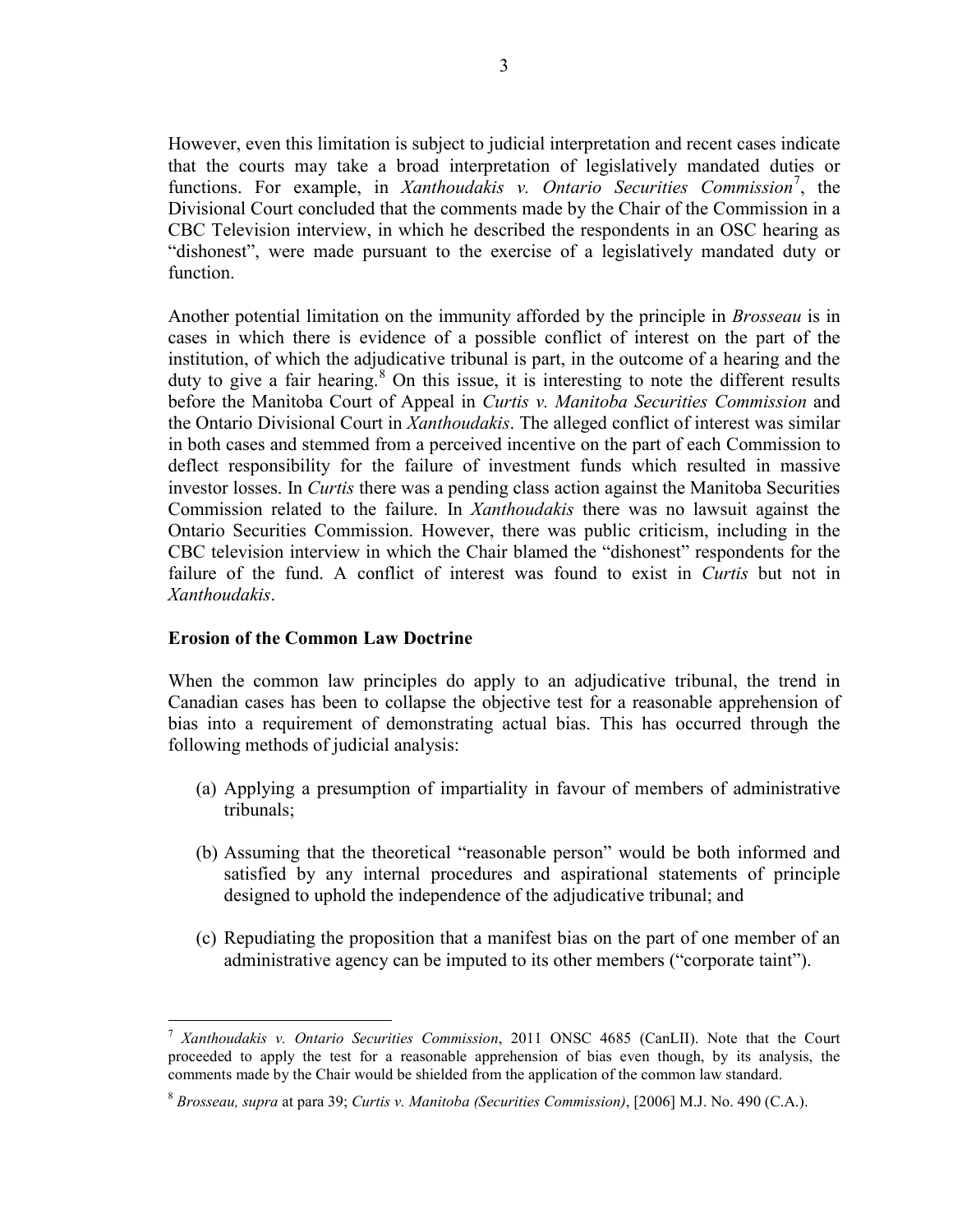However, even this limitation is subject to judicial interpretation and recent cases indicate that the courts may take a broad interpretation of legislatively mandated duties or functions. For example, in *Xanthoudakis v. Ontario Securities Commission*<sup>[7](#page-2-0)</sup>, the Divisional Court concluded that the comments made by the Chair of the Commission in a CBC Television interview, in which he described the respondents in an OSC hearing as "dishonest", were made pursuant to the exercise of a legislatively mandated duty or function.

Another potential limitation on the immunity afforded by the principle in *Brosseau* is in cases in which there is evidence of a possible conflict of interest on the part of the institution, of which the adjudicative tribunal is part, in the outcome of a hearing and the duty to give a fair hearing.<sup>[8](#page-2-1)</sup> On this issue, it is interesting to note the different results before the Manitoba Court of Appeal in *Curtis v. Manitoba Securities Commission* and the Ontario Divisional Court in *Xanthoudakis*. The alleged conflict of interest was similar in both cases and stemmed from a perceived incentive on the part of each Commission to deflect responsibility for the failure of investment funds which resulted in massive investor losses. In *Curtis* there was a pending class action against the Manitoba Securities Commission related to the failure. In *Xanthoudakis* there was no lawsuit against the Ontario Securities Commission. However, there was public criticism, including in the CBC television interview in which the Chair blamed the "dishonest" respondents for the failure of the fund. A conflict of interest was found to exist in *Curtis* but not in *Xanthoudakis*.

### **Erosion of the Common Law Doctrine**

When the common law principles do apply to an adjudicative tribunal, the trend in Canadian cases has been to collapse the objective test for a reasonable apprehension of bias into a requirement of demonstrating actual bias. This has occurred through the following methods of judicial analysis:

- (a) Applying a presumption of impartiality in favour of members of administrative tribunals;
- (b) Assuming that the theoretical "reasonable person" would be both informed and satisfied by any internal procedures and aspirational statements of principle designed to uphold the independence of the adjudicative tribunal; and
- (c) Repudiating the proposition that a manifest bias on the part of one member of an administrative agency can be imputed to its other members ("corporate taint").

<span id="page-2-0"></span> <sup>7</sup> *Xanthoudakis v. Ontario Securities Commission*, 2011 ONSC 4685 (CanLII). Note that the Court proceeded to apply the test for a reasonable apprehension of bias even though, by its analysis, the comments made by the Chair would be shielded from the application of the common law standard.

<span id="page-2-1"></span><sup>8</sup> *Brosseau, supra* at para 39; *Curtis v. Manitoba (Securities Commission)*, [2006] M.J. No. 490 (C.A.).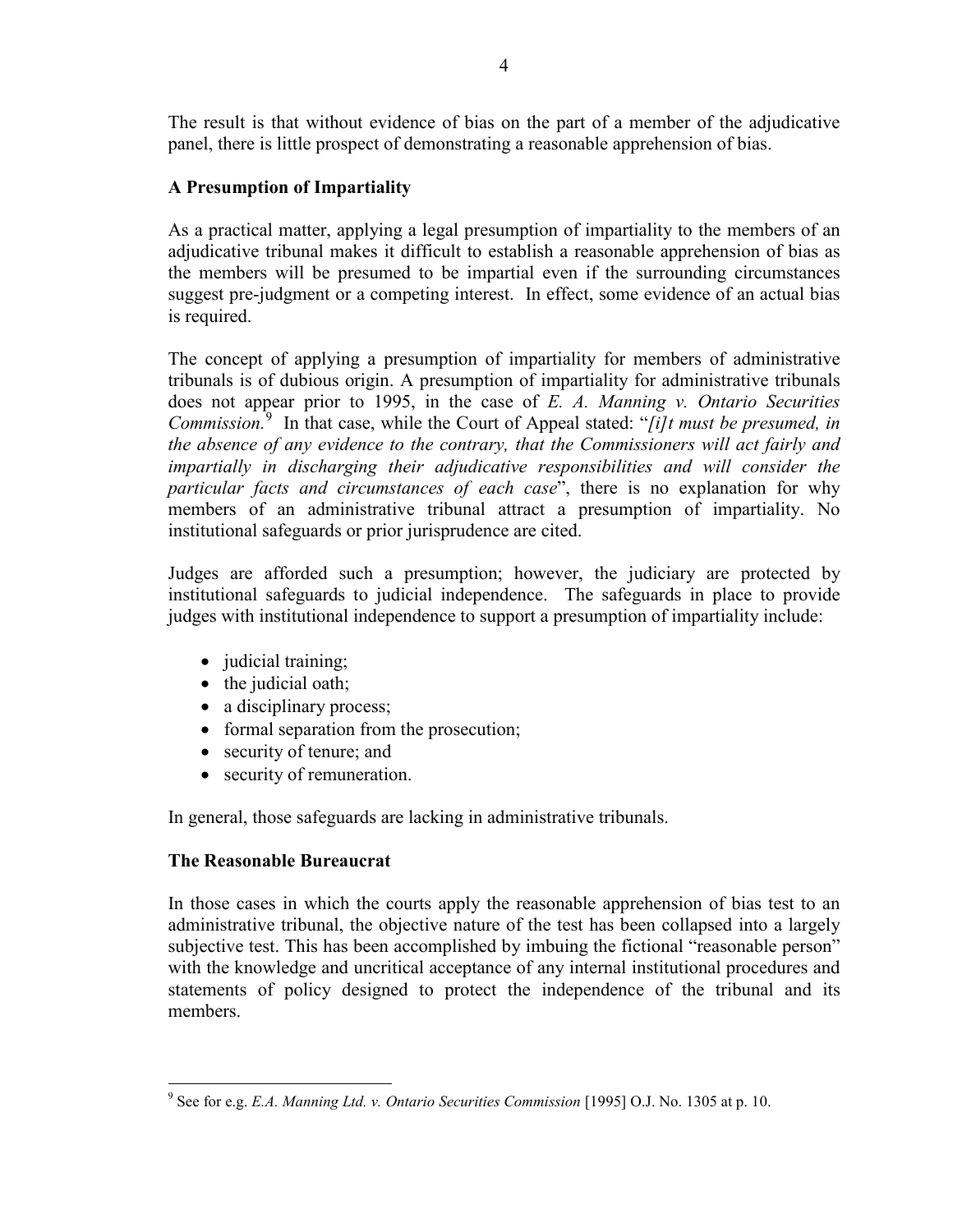The result is that without evidence of bias on the part of a member of the adjudicative panel, there is little prospect of demonstrating a reasonable apprehension of bias.

## **A Presumption of Impartiality**

As a practical matter, applying a legal presumption of impartiality to the members of an adjudicative tribunal makes it difficult to establish a reasonable apprehension of bias as the members will be presumed to be impartial even if the surrounding circumstances suggest pre-judgment or a competing interest. In effect, some evidence of an actual bias is required.

The concept of applying a presumption of impartiality for members of administrative tribunals is of dubious origin. A presumption of impartiality for administrative tribunals does not appear prior to 1995, in the case of *E. A. Manning v. Ontario Securities Commission.* [9](#page-3-0) In that case, while the Court of Appeal stated: "*[i]t must be presumed, in the absence of any evidence to the contrary, that the Commissioners will act fairly and impartially in discharging their adjudicative responsibilities and will consider the particular facts and circumstances of each case*", there is no explanation for why members of an administrative tribunal attract a presumption of impartiality. No institutional safeguards or prior jurisprudence are cited.

Judges are afforded such a presumption; however, the judiciary are protected by institutional safeguards to judicial independence. The safeguards in place to provide judges with institutional independence to support a presumption of impartiality include:

- judicial training;
- the judicial oath;
- a disciplinary process;
- formal separation from the prosecution;
- security of tenure; and
- security of remuneration.

In general, those safeguards are lacking in administrative tribunals.

# **The Reasonable Bureaucrat**

In those cases in which the courts apply the reasonable apprehension of bias test to an administrative tribunal, the objective nature of the test has been collapsed into a largely subjective test. This has been accomplished by imbuing the fictional "reasonable person" with the knowledge and uncritical acceptance of any internal institutional procedures and statements of policy designed to protect the independence of the tribunal and its members.

<span id="page-3-0"></span> <sup>9</sup> See for e.g. *E.A. Manning Ltd. v. Ontario Securities Commission* [1995] O.J. No. 1305 at p. 10.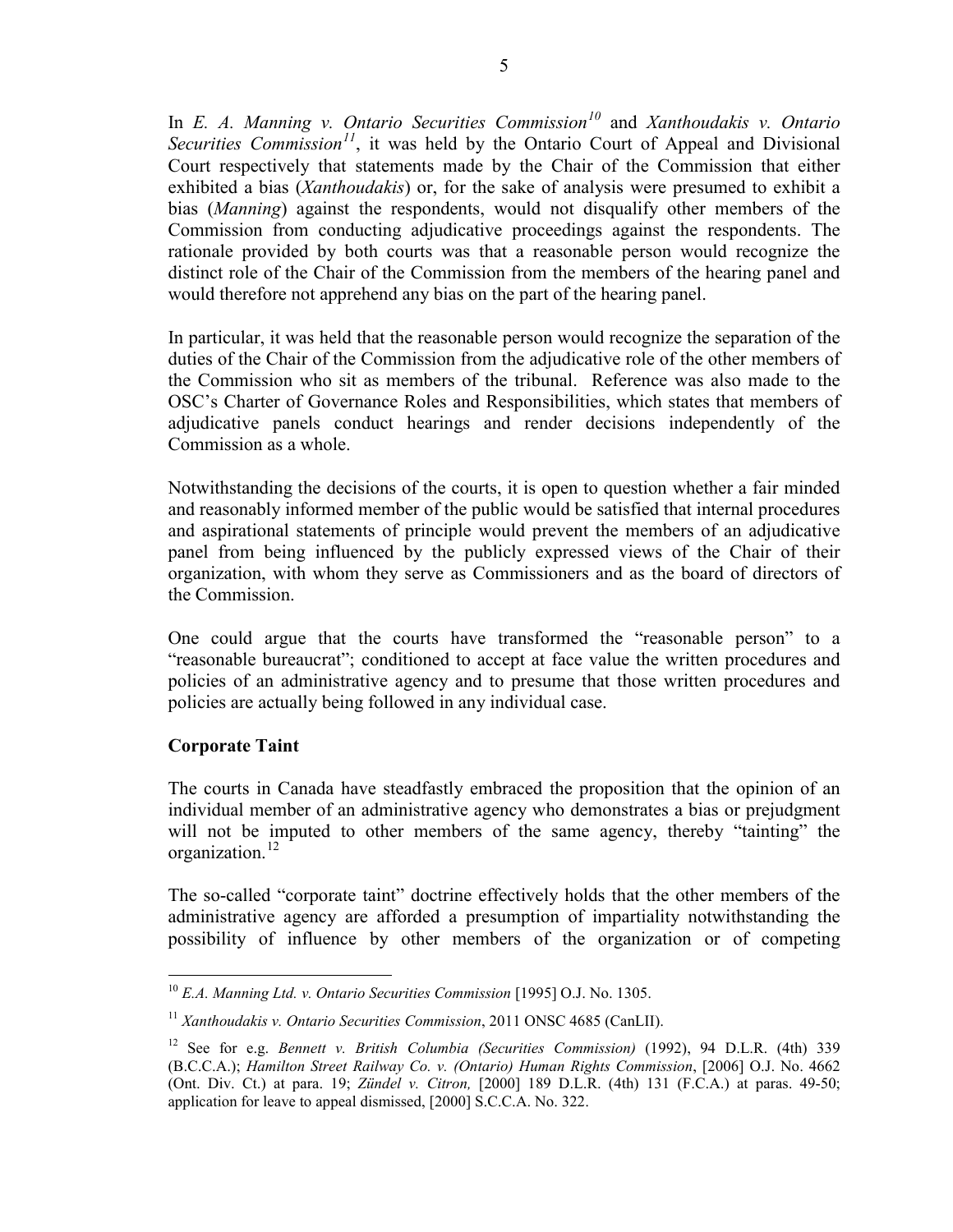In *E. A. Manning v. Ontario Securities Commission[10](#page-4-0)* and *Xanthoudakis v. Ontario Securities Commission[11](#page-4-1)*, it was held by the Ontario Court of Appeal and Divisional Court respectively that statements made by the Chair of the Commission that either exhibited a bias (*Xanthoudakis*) or, for the sake of analysis were presumed to exhibit a bias (*Manning*) against the respondents, would not disqualify other members of the Commission from conducting adjudicative proceedings against the respondents. The rationale provided by both courts was that a reasonable person would recognize the distinct role of the Chair of the Commission from the members of the hearing panel and would therefore not apprehend any bias on the part of the hearing panel.

In particular, it was held that the reasonable person would recognize the separation of the duties of the Chair of the Commission from the adjudicative role of the other members of the Commission who sit as members of the tribunal. Reference was also made to the OSC's Charter of Governance Roles and Responsibilities, which states that members of adjudicative panels conduct hearings and render decisions independently of the Commission as a whole.

Notwithstanding the decisions of the courts, it is open to question whether a fair minded and reasonably informed member of the public would be satisfied that internal procedures and aspirational statements of principle would prevent the members of an adjudicative panel from being influenced by the publicly expressed views of the Chair of their organization, with whom they serve as Commissioners and as the board of directors of the Commission.

One could argue that the courts have transformed the "reasonable person" to a "reasonable bureaucrat"; conditioned to accept at face value the written procedures and policies of an administrative agency and to presume that those written procedures and policies are actually being followed in any individual case.

### **Corporate Taint**

The courts in Canada have steadfastly embraced the proposition that the opinion of an individual member of an administrative agency who demonstrates a bias or prejudgment will not be imputed to other members of the same agency, thereby "tainting" the organization.<sup>[12](#page-4-2)</sup>

The so-called "corporate taint" doctrine effectively holds that the other members of the administrative agency are afforded a presumption of impartiality notwithstanding the possibility of influence by other members of the organization or of competing

<span id="page-4-0"></span> <sup>10</sup> *E.A. Manning Ltd. v. Ontario Securities Commission* [1995] O.J. No. 1305.

<span id="page-4-1"></span><sup>11</sup> *Xanthoudakis v. Ontario Securities Commission*, 2011 ONSC 4685 (CanLII).

<span id="page-4-2"></span><sup>12</sup> See for e.g. *Bennett v. British Columbia (Securities Commission)* (1992), 94 D.L.R. (4th) 339 (B.C.C.A.); *Hamilton Street Railway Co. v. (Ontario) Human Rights Commission*, [2006] O.J. No. 4662 (Ont. Div. Ct.) at para. 19; *Zündel v. Citron,* [2000] 189 D.L.R. (4th) 131 (F.C.A.) at paras. 49-50; application for leave to appeal dismissed, [2000] S.C.C.A. No. 322.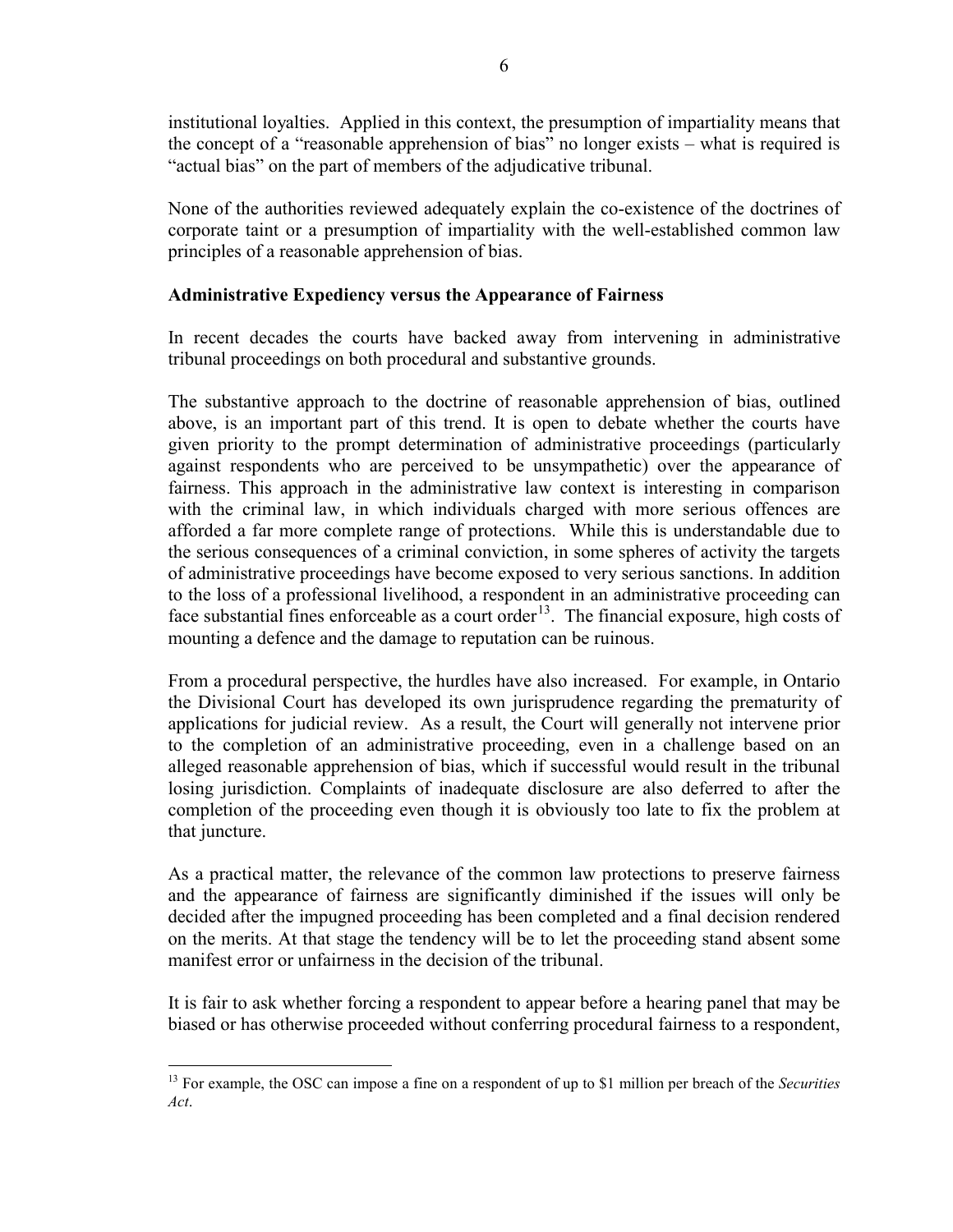institutional loyalties. Applied in this context, the presumption of impartiality means that the concept of a "reasonable apprehension of bias" no longer exists – what is required is "actual bias" on the part of members of the adjudicative tribunal.

None of the authorities reviewed adequately explain the co-existence of the doctrines of corporate taint or a presumption of impartiality with the well-established common law principles of a reasonable apprehension of bias.

### **Administrative Expediency versus the Appearance of Fairness**

In recent decades the courts have backed away from intervening in administrative tribunal proceedings on both procedural and substantive grounds.

The substantive approach to the doctrine of reasonable apprehension of bias, outlined above, is an important part of this trend. It is open to debate whether the courts have given priority to the prompt determination of administrative proceedings (particularly against respondents who are perceived to be unsympathetic) over the appearance of fairness. This approach in the administrative law context is interesting in comparison with the criminal law, in which individuals charged with more serious offences are afforded a far more complete range of protections. While this is understandable due to the serious consequences of a criminal conviction, in some spheres of activity the targets of administrative proceedings have become exposed to very serious sanctions. In addition to the loss of a professional livelihood, a respondent in an administrative proceeding can face substantial fines enforceable as a court order<sup>13</sup>. The financial exposure, high costs of mounting a defence and the damage to reputation can be ruinous.

From a procedural perspective, the hurdles have also increased. For example, in Ontario the Divisional Court has developed its own jurisprudence regarding the prematurity of applications for judicial review. As a result, the Court will generally not intervene prior to the completion of an administrative proceeding, even in a challenge based on an alleged reasonable apprehension of bias, which if successful would result in the tribunal losing jurisdiction. Complaints of inadequate disclosure are also deferred to after the completion of the proceeding even though it is obviously too late to fix the problem at that juncture.

As a practical matter, the relevance of the common law protections to preserve fairness and the appearance of fairness are significantly diminished if the issues will only be decided after the impugned proceeding has been completed and a final decision rendered on the merits. At that stage the tendency will be to let the proceeding stand absent some manifest error or unfairness in the decision of the tribunal.

It is fair to ask whether forcing a respondent to appear before a hearing panel that may be biased or has otherwise proceeded without conferring procedural fairness to a respondent,

<span id="page-5-0"></span> <sup>13</sup> For example, the OSC can impose a fine on a respondent of up to \$1 million per breach of the *Securities Act*.